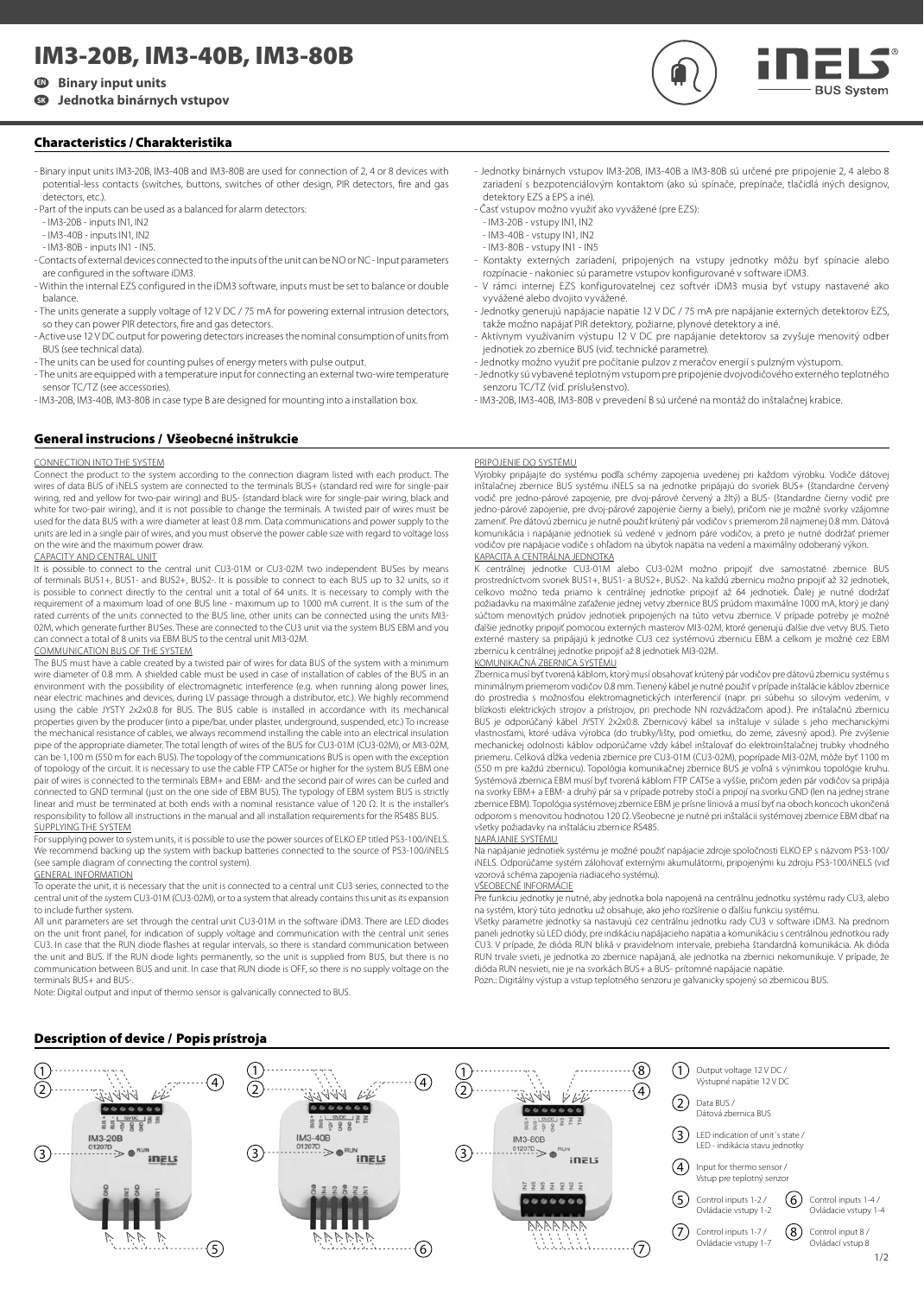# **IM3-20B, IM3-40B, IM3-80B**

## **EN Binary input units**

**SK Jednotka binárnych vstupov**

# **Characteristics / Charakteristika**

- Binary input units IM3-20B, IM3-40B and IM3-80B are used for connection of 2, 4 or 8 devices with potential-less contacts (switches, buttons, switches of other design, PIR detectors, fire and gas detectors, etc.).
- Part of the inputs can be used as a balanced for alarm detectors:
- IM3-20B inputs IN1, IN2
- IM3-40B inputs IN1, IN2 - IM3-80B - inputs IN1 - IN5.
- 
- Contacts of external devices connected to the inputs of the unit can be NO or NC Input parameters are configured in the software iDM3.
- Within the internal EZS configured in the iDM3 software, inputs must be set to balance or double balance.
- The units generate a supply voltage of 12 V DC / 75 mA for powering external intrusion detectors, so they can power PIR detectors, fire and gas detectors.
- Active use 12 V DC output for powering detectors increases the nominal consumption of units from BUS (see technical data).
- The units can be used for counting pulses of energy meters with pulse output.
- The units are equipped with a temperature input for connecting an external two-wire temperature sensor TC/TZ (see accessories).
- IM3-20B, IM3-40B, IM3-80B in case type B are designed for mounting into a installation box.

# **General instrucions / Všeobecné inštrukcie**

### CONNECTION INTO THE SYSTEM

Connect the product to the system according to the connection diagram listed with each product. The wires of data BUS of iNELS system are connected to the terminals BUS+ (standard red wire for single-pair wiring, red and yellow for two-pair wiring) and BUS- (standard black wire for single-pair wiring, black and white for two-pair wiring), and it is not possible to change the terminals. A twisted pair of wires must be used for the data BUS with a wire diameter at least 0.8 mm. Data communications and power supply to the units are led in a single pair of wires, and you must observe the power cable size with regard to voltage loss on the wire and the maximum power draw.

#### CAPACITY AND CENTRAL UNIT

It is possible to connect to the central unit CU3-01M or CU3-02M two independent BUSes by means of terminals BUS1+, BUS1- and BUS2+, BUS2-. It is possible to connect to each BUS up to 32 units, so it is possible to connect directly to the central unit a total of 64 units. It is necessary to comply with the requirement of a maximum load of one BUS line - maximum up to 1000 mA current. It is the sum of the rated currents of the units connected to the BUS line, other units can be connected using the units MI3- 02M, which generate further BUSes. These are connected to the CU3 unit via the system BUS EBM and you can connect a total of 8 units via EBM BUS to the central unit MI3-02M.

<u>COMMUNICATION BUS OF THE SYSTEM</u><br>The BUS must have a cable created by a twisted pair of wires for data BUS of the system with a minimum<br>wire diameter of 0.8 mm. A shielded cable must be used in case of installation of cab environment with the possibility of electromagnetic interference (e.g. when running along power lines, near electric machines and devices, during LV passage through a distributor, etc.). We highly recommend using the cable JYSTY 2x2x0.8 for BUS. The BUS cable is installed in accordance with its mechanical properties given by the producer (into a pipe/bar, under plaster, underground, suspended, etc.) To increase the mechanical resistance of cables, we always recommend installing the cable into an electrical insulation pipe of the appropriate diameter. The total length of wires of the BUS for CU3-01M (CU3-02M), or MI3-02M, can be 1,100 m (550 m for each BUS). The topology of the communications BUS is open with the exception of topology of the circuit. It is necessary to use the cable FTP CAT5e or higher for the system BUS EBM one pair of wires is connected to the terminals EBM+ and EBM- and the second pair of wires can be curled and connected to GND terminal (just on the one side of EBM BUS). The typology of EBM system BUS is strictly linear and must be terminated at both ends with a nominal resistance value of 120 Ω. It is the installer's responsibility to follow all instructions in the manual and all installation requirements for the RS485 BUS. SUPPLYING THE SYSTEM

#### For supplying power to system units, it is possible to use the power sources of ELKO EP titled PS3-100/iNELS. We recommend backing up the system with backup batteries connected to the source of PS3-100/iNELS (see sample diagram of connecting the control system).

#### GENERAL INFORMATION

To operate the unit, it is necessary that the unit is connected to a central unit CU3 series, connected to the central unit of the system CU3-01M (CU3-02M), or to a system that already contains this unit as its expansion to include further system.

All unit parameters are set through the central unit CU3-01M in the software iDM3. There are LED diodes on the unit front panel, for indication of supply voltage and communication with the central unit series CU3. In case that the RUN diode flashes at regular intervals, so there is standard communication between the unit and BUS. If the RUN diode lights permanently, so the unit is supplied from BUS, but there is no communication between BUS and unit. In case that RUN diode is OFF, so there is no supply voltage on the terminals BUS+ and BUS-

Note: Digital output and input of thermo sensor is galvanically connected to BUS.

- Jednotky binárnych vstupov IM3-20B, IM3-40B a IM3-80B sú určené pre pripojenie 2, 4 alebo 8 zariadení s bezpotenciálovým kontaktom (ako sú spínače, prepínače, tlačidlá iných designov, detektory EZS a EPS a iné).
- Časť vstupov možno využiť ako vyvážené (pre EZS):
- IM3-20B vstupy IN1, IN2
- IM3-40B vstupy IN1, IN2
- IM3-80B vstupy IN1 IN5
- Kontakty externých zariadení, pripojených na vstupy jednotky môžu byť spínacie alebo rozpínacie - nakoniec sú parametre vstupov konfigurované v software iDM3.
- V rámci internej EZS konfigurovatelnej cez softvér iDM3 musia byť vstupy nastavené ako vyvážené alebo dvojito vyvážené.
- Jednotky generujú napájacie napätie 12 V DC / 75 mA pre napájanie externých detektorov EZS, takže možno napájať PIR detektory, požiarne, plynové detektory a iné.
- Aktívnym využívaním výstupu 12 V DC pre napájanie detektorov sa zvyšuje menovitý odber jednotiek zo zbernice BUS (viď. technické parametre).
- Jednotky možno využiť pre počítanie pulzov z meračov energií s pulzným výstupom.
- Jednotky sú vybavené teplotným vstupom pre pripojenie dvojvodičového externého teplotného senzoru TC/TZ (viď. príslušenstvo).
- IM3-20B, IM3-40B, IM3-80B v prevedení B sú určené na montáž do inštalačnej krabice.

#### PRIPOJENIE DO SYSTÉMU

Výrobky pripájajte do systému podľa schémy zapojenia uvedenej pri každom výrobku. Vodiče dátovej inštalačnej zbernice BUS systému iNELS sa na jednotke pripájajú do svoriek BUS+ (štandardne červený vodič pre jedno-párové zapojenie, pre dvoj-párové červený a žltý) a BUS- (štandardne čierny vodič pre jedno-párové zapojenie, pre dvoj-párové zapojenie čierny a biely), pričom nie je možné svorky vzájomne zameniť. Pre dátovú zbernicu je nutné použiť krútený pár vodičov s priemerom žíl najmenej 0.8 mm. Dátová komunikácia i napájanie jednotiek sú vedené v jednom páre vodičov, a preto je nutné dodržať priemer vodičov pre napájacie vodiče s ohľadom na úbytok napätia na vedení a maximálny odoberaný výkon. KAPACITA A CENTRÁLNA JEDNOTKA

K centrálnej jednotke CU3-01M alebo CU3-02M možno pripojiť dve samostatné zbernice BUS prostredníctvom svoriek BUS1+, BUS1- a BUS2+, BUS2-. Na každú zbernicu možno pripojiť až 32 jednotiek, celkovo možno teda priamo k centrálnej jednotke pripojiť až 64 jednotiek. Ďalej je nutné dodržať požiadavku na maximálne zaťaženie jednej vetvy zbernice BUS prúdom maximálne 1000 mA, ktorý je daný súčtom menovitých prúdov jednotiek pripojených na túto vetvu zbernice. V prípade potreby je možné ďalšie jednotky pripojiť pomocou externých masterov MI3-02M, ktoré generujú ďalšie dve vetvy BUS. Tieto externé mastery sa pripájajú k jednotke CU3 cez systémovú zbernicu EBM a celkom je možné cez EBM zbernicu k centrálnej jednotke pripojiť až 8 jednotiek MI3-02M.

#### KOMUNIKAČNÁ ZBERNICA SYSTÉMU

Zbernica musí byť tvorená káblom, ktorý musí obsahovať krútený pár vodičov pre dátovú zbernicu systému s minimálnym priemerom vodičov 0.8 mm. Tienený kábel je nutné použiť v prípade inštalácie káblov zbernice do prostredia s možnosťou elektromagnetických interferencií (napr. pri súbehu so silovým vedením, v blízkosti elektrických strojov a prístrojov, pri prechode NN rozvádzačom apod.). Pre inštalačnú zbernicu<br>BUS je odporúčaný kábel JYSTY 2x2x0.8. Zbernicový kábel sa inštaluje v súlade s jeho mechanickými vlastnosťami, ktoré udáva výrobca (do trubky/lišty, pod omietku, do zeme, závesný apod.). Pre zvýšenie mechanickej odolnosti káblov odporúčame vždy kábel inštalovať do elektroinštalačnej trubky vhodného priemeru. Celková dĺžka vedenia zbernice pre CU3-01M (CU3-02M), poprípade MI3-02M, môže byť 1100 m (550 m pre každú zbernicu). Topológia komunikačnej zbernice BUS je voľná s výnimkou topológie kruhu. Systémová zbernica EBM musí byť tvorená káblom FTP CAT5e a vyššie, pričom jeden pár vodičov sa pripája na svorky EBM+ a EBM- a druhý pár sa v prípade potreby stočí a pripojí na svorku GND (len na jednej strane zbernice EBM). Topológia systémovej zbernice EBM je prísne líniová a musí byť na oboch koncoch ukončená odporom s menovitou hodnotou 120 Ω. Všeobecne je nutné pri inštalácii systémovej zbernice EBM dbať na všetky požiadavky na inštaláciu zbernice RS485.

#### NAPÁJANIE SYSTÉMU

Na napájanie jednotiek systému je možné použiť napájacie zdroje spoločnosti ELKO EP s názvom PS3-100/ iNELS. Odporúčame systém zálohovať externými akumulátormi, pripojenými ku zdroju PS3-100/iNELS (viď vzorová schéma zapojenia riadiaceho systému).

# VŠEOBECNÉ INFORMÁCIE

Pre funkciu jednotky je nutné, aby jednotka bola napojená na centrálnu jednotku systému rady CU3, alebo na systém, ktorý túto jednotku už obsahuje, ako jeho rozšírenie o ďalšiu funkciu systému.

Všetky parametre jednotky sa nastavujú cez centrálnu jednotku rady CU3 v software iDM3. Na prednom paneli jednotky sú LED diódy, pre indikáciu napájacieho napätia a komunikáciu s centrálnou jednotkou rady CU3. V prípade, že dióda RUN bliká v pravidelnom intervale, prebieha štandardná komunikácia. Ak dióda RUN trvale svieti, je jednotka zo zbernice napájaná, ale jednotka na zbernici nekomunikuje. V prípade, že dióda RUN nesvieti, nie je na svorkách BUS+ a BUS- prítomné napájacie napätie.

Pozn.: Digitálny výstup a vstup teplotného senzoru je galvanicky spojený so zbernicou BUS.

# **Description of device / Popis prístroja**